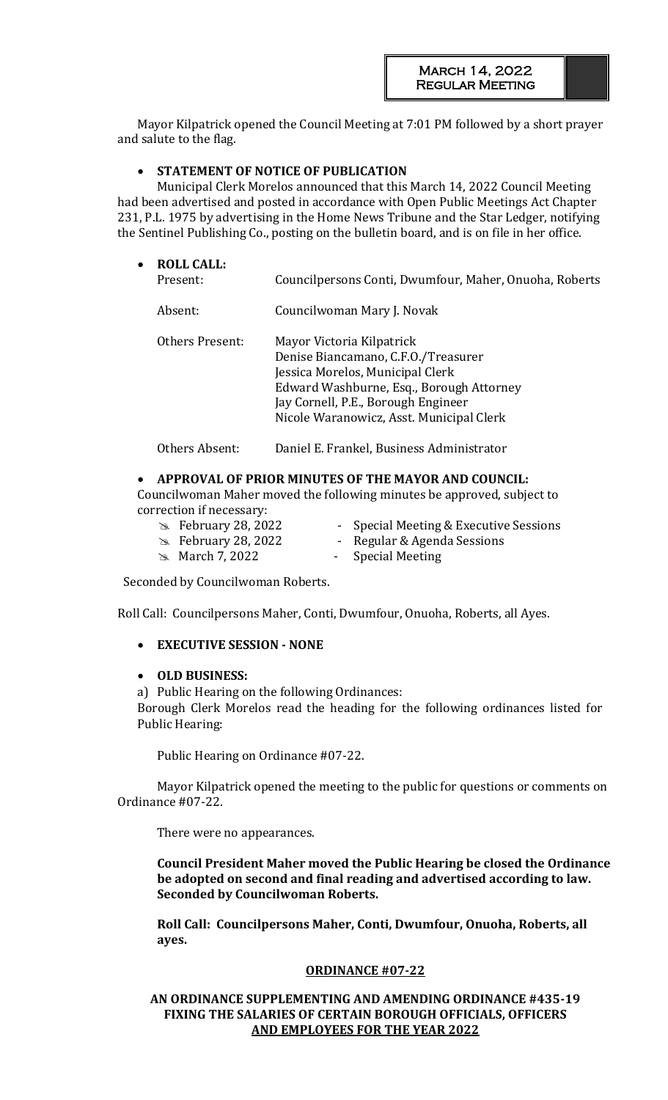Mayor Kilpatrick opened the Council Meeting at 7:01 PM followed by a short prayer and salute to the flag.

## • **STATEMENT OF NOTICE OF PUBLICATION**

Municipal Clerk Morelos announced that this March 14, 2022 Council Meeting had been advertised and posted in accordance with Open Public Meetings Act Chapter 231, P.L. 1975 by advertising in the Home News Tribune and the Star Ledger, notifying the Sentinel Publishing Co., posting on the bulletin board, and is on file in her office.

| $\bullet$ | <b>ROLL CALL:</b><br>Present: | Councilpersons Conti, Dwumfour, Maher, Onuoha, Roberts                                                                                                                                                                              |
|-----------|-------------------------------|-------------------------------------------------------------------------------------------------------------------------------------------------------------------------------------------------------------------------------------|
|           | Absent:                       | Councilwoman Mary J. Novak                                                                                                                                                                                                          |
|           | Others Present:               | Mayor Victoria Kilpatrick<br>Denise Biancamano, C.F.O./Treasurer<br>Jessica Morelos, Municipal Clerk<br>Edward Washburne, Esq., Borough Attorney<br>Jay Cornell, P.E., Borough Engineer<br>Nicole Waranowicz, Asst. Municipal Clerk |
|           | Others Absent:                | Daniel E. Frankel, Business Administrator                                                                                                                                                                                           |

## • **APPROVAL OF PRIOR MINUTES OF THE MAYOR AND COUNCIL:**

Councilwoman Maher moved the following minutes be approved, subject to correction if necessary:

- 
- **EXECUTE:** February 28, 2022 Special Meeting & Executive Sessions
- **EXA:** February 28, 2022 Regular & Agenda Sessions
	-
- **EXAMARCH 7, 2022** Special Meeting

Seconded by Councilwoman Roberts.

Roll Call: Councilpersons Maher, Conti, Dwumfour, Onuoha, Roberts, all Ayes.

• **EXECUTIVE SESSION - NONE**

## • **OLD BUSINESS:**

a) Public Hearing on the following Ordinances:

Borough Clerk Morelos read the heading for the following ordinances listed for Public Hearing:

Public Hearing on Ordinance #07-22.

Mayor Kilpatrick opened the meeting to the public for questions or comments on Ordinance #07-22.

There were no appearances.

**Council President Maher moved the Public Hearing be closed the Ordinance be adopted on second and final reading and advertised according to law. Seconded by Councilwoman Roberts.** 

**Roll Call: Councilpersons Maher, Conti, Dwumfour, Onuoha, Roberts, all ayes.**

## **ORDINANCE #07-22**

## **AN ORDINANCE SUPPLEMENTING AND AMENDING ORDINANCE #435-19 FIXING THE SALARIES OF CERTAIN BOROUGH OFFICIALS, OFFICERS AND EMPLOYEES FOR THE YEAR 2022**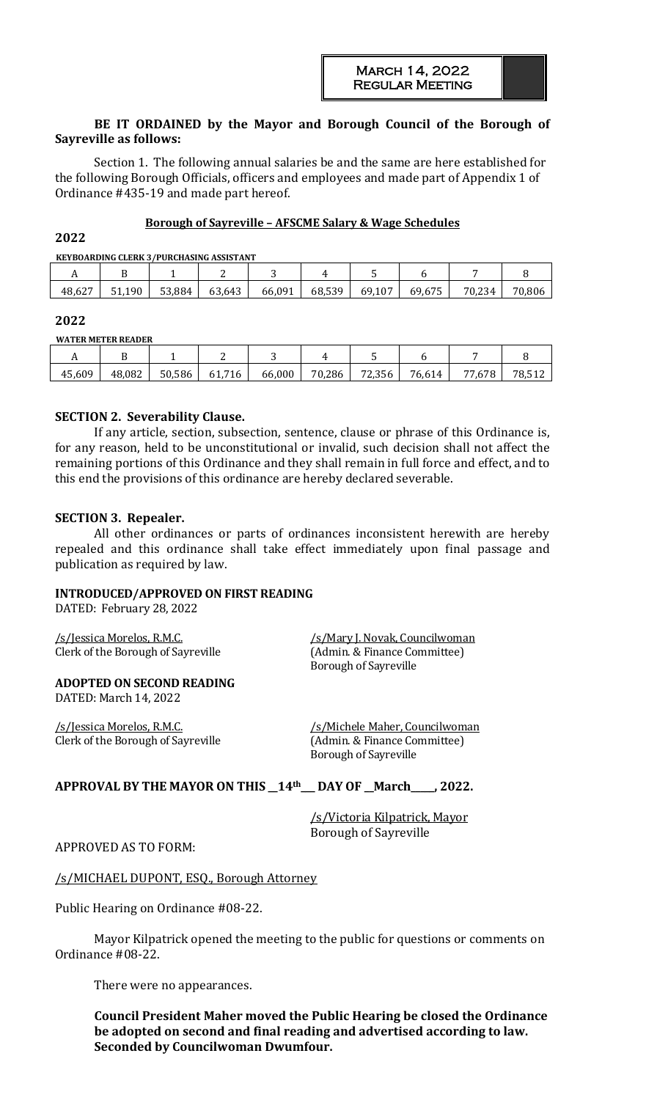## **BE IT ORDAINED by the Mayor and Borough Council of the Borough of Sayreville as follows:**

Section 1. The following annual salaries be and the same are here established for the following Borough Officials, officers and employees and made part of Appendix 1 of Ordinance #435-19 and made part hereof.

#### **Borough of Sayreville – AFSCME Salary & Wage Schedules**

#### **2022**

**KEYBOARDING CLERK 3/PURCHASING ASSISTANT**

|        |       |        | .      |        |        |        |        |        |        |
|--------|-------|--------|--------|--------|--------|--------|--------|--------|--------|
| . .    | . .   |        |        |        |        |        |        |        |        |
| 48,627 | . 190 | 53,884 | 63,643 | 66,091 | 68,539 | 69,107 | 69,675 | 70.234 | 70,806 |

#### **2022**

**WATER METER READER**

| -----  |        |        |        |        |        |        |        |     |    |
|--------|--------|--------|--------|--------|--------|--------|--------|-----|----|
| . .    |        |        |        | ∼      | 4      |        |        |     |    |
| 45,609 | 48,082 | 50,586 | 61,716 | 66,000 | 70,286 | 72,356 | 76,614 | 678 | 78 |

#### **SECTION 2. Severability Clause.**

If any article, section, subsection, sentence, clause or phrase of this Ordinance is, for any reason, held to be unconstitutional or invalid, such decision shall not affect the remaining portions of this Ordinance and they shall remain in full force and effect, and to this end the provisions of this ordinance are hereby declared severable.

#### **SECTION 3. Repealer.**

All other ordinances or parts of ordinances inconsistent herewith are hereby repealed and this ordinance shall take effect immediately upon final passage and publication as required by law.

## **INTRODUCED/APPROVED ON FIRST READING**

DATED: February 28, 2022

/s/Jessica Morelos, R.M.C. /s/Mary J. Novak, Councilwoman Clerk of the Borough of Sayreville (Admin. & Finance Committee)

Borough of Sayreville

**ADOPTED ON SECOND READING**

DATED: March 14, 2022

/s/Jessica Morelos, R.M.C. /s/Michele Maher, Councilwoman Clerk of the Borough of Sayreville (Admin. & Finance Committee)

Borough of Sayreville

## **APPROVAL BY THE MAYOR ON THIS \_\_14th\_\_\_ DAY OF \_\_March\_\_\_\_\_, 2022.**

/s/Victoria Kilpatrick, Mayor Borough of Sayreville

APPROVED AS TO FORM:

#### /s/MICHAEL DUPONT, ESQ., Borough Attorney

Public Hearing on Ordinance #08-22.

Mayor Kilpatrick opened the meeting to the public for questions or comments on Ordinance #08-22.

There were no appearances.

**Council President Maher moved the Public Hearing be closed the Ordinance be adopted on second and final reading and advertised according to law. Seconded by Councilwoman Dwumfour.**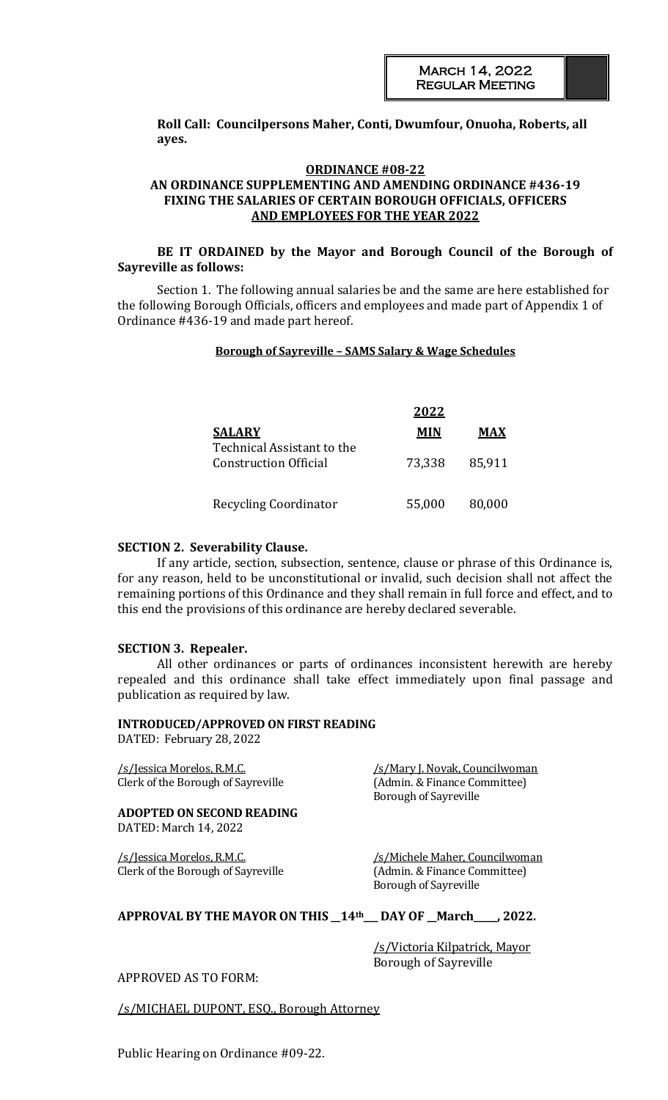**Roll Call: Councilpersons Maher, Conti, Dwumfour, Onuoha, Roberts, all ayes.**

## **ORDINANCE #08-22 AN ORDINANCE SUPPLEMENTING AND AMENDING ORDINANCE #436-19 FIXING THE SALARIES OF CERTAIN BOROUGH OFFICIALS, OFFICERS AND EMPLOYEES FOR THE YEAR 2022**

## **BE IT ORDAINED by the Mayor and Borough Council of the Borough of Sayreville as follows:**

Section 1. The following annual salaries be and the same are here established for the following Borough Officials, officers and employees and made part of Appendix 1 of Ordinance #436-19 and made part hereof.

#### **Borough of Sayreville – SAMS Salary & Wage Schedules**

|                                             | 2022       |        |
|---------------------------------------------|------------|--------|
| <b>SALARY</b><br>Technical Assistant to the | <b>MIN</b> | MAX    |
| <b>Construction Official</b>                | 73,338     | 85,911 |
| <b>Recycling Coordinator</b>                | 55,000     | 80,000 |

#### **SECTION 2. Severability Clause.**

If any article, section, subsection, sentence, clause or phrase of this Ordinance is, for any reason, held to be unconstitutional or invalid, such decision shall not affect the remaining portions of this Ordinance and they shall remain in full force and effect, and to this end the provisions of this ordinance are hereby declared severable.

#### **SECTION 3. Repealer.**

All other ordinances or parts of ordinances inconsistent herewith are hereby repealed and this ordinance shall take effect immediately upon final passage and publication as required by law.

#### **INTRODUCED/APPROVED ON FIRST READING**

DATED: February 28, 2022

/s/Jessica Morelos, R.M.C. /s/Mary J. Novak, Councilwoman Clerk of the Borough of Sayreville (Admin. & Finance Committee)

#### **ADOPTED ON SECOND READING** DATED: March 14, 2022

Borough of Sayreville

/s/Jessica Morelos, R.M.C. // /s/Michele Maher, Councilwoman Clerk of the Borough of Sayreville (Admin. & Finance Committee) Borough of Sayreville

## **APPROVAL BY THE MAYOR ON THIS \_\_14th\_\_\_ DAY OF \_\_March\_\_\_\_\_, 2022.**

/s/Victoria Kilpatrick, Mayor Borough of Sayreville

## APPROVED AS TO FORM:

/s/MICHAEL DUPONT, ESQ., Borough Attorney

Public Hearing on Ordinance #09-22.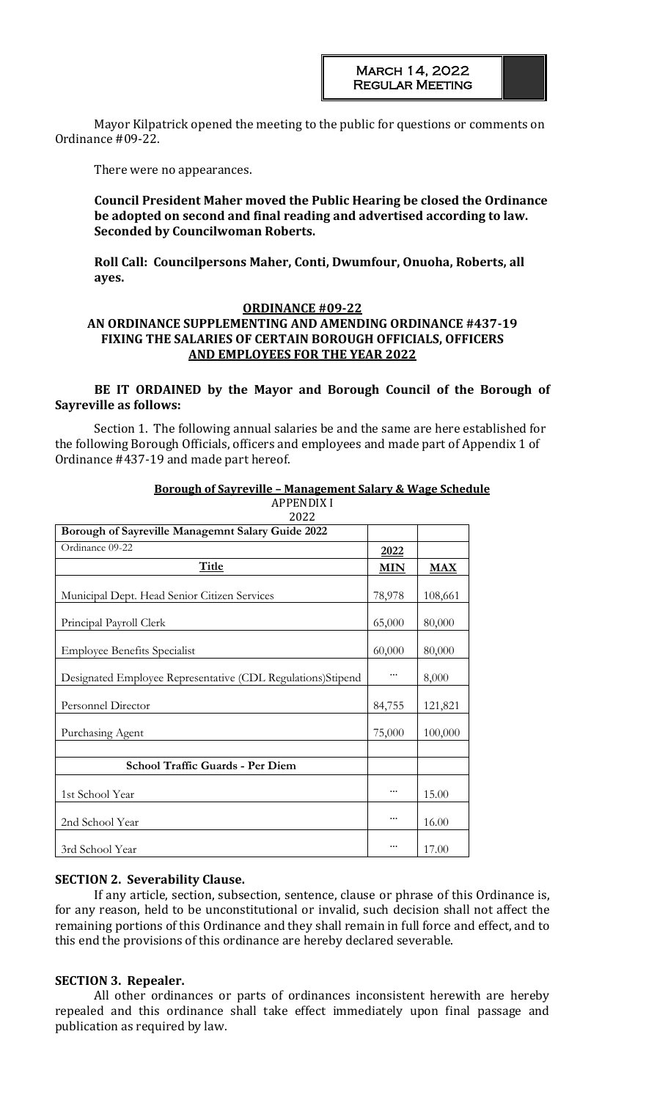Mayor Kilpatrick opened the meeting to the public for questions or comments on Ordinance #09-22.

There were no appearances.

## **Council President Maher moved the Public Hearing be closed the Ordinance be adopted on second and final reading and advertised according to law. Seconded by Councilwoman Roberts.**

**Roll Call: Councilpersons Maher, Conti, Dwumfour, Onuoha, Roberts, all ayes.**

## **ORDINANCE #09-22**

## **AN ORDINANCE SUPPLEMENTING AND AMENDING ORDINANCE #437-19 FIXING THE SALARIES OF CERTAIN BOROUGH OFFICIALS, OFFICERS AND EMPLOYEES FOR THE YEAR 2022**

#### **BE IT ORDAINED by the Mayor and Borough Council of the Borough of Sayreville as follows:**

Section 1. The following annual salaries be and the same are here established for the following Borough Officials, officers and employees and made part of Appendix 1 of Ordinance #437-19 and made part hereof.

| APPENDIX I<br>2022                                          |            |                         |
|-------------------------------------------------------------|------------|-------------------------|
| Borough of Sayreville Managemnt Salary Guide 2022           |            |                         |
| Ordinance 09-22                                             | 2022       |                         |
| <b>Title</b>                                                | <b>MIN</b> | $\overline{\text{MAX}}$ |
| Municipal Dept. Head Senior Citizen Services                | 78,978     | 108,661                 |
| Principal Payroll Clerk                                     | 65,000     | 80,000                  |
| <b>Employee Benefits Specialist</b>                         | 60,000     | 80,000                  |
| Designated Employee Representative (CDL Regulations)Stipend |            | 8,000                   |
| Personnel Director                                          | 84,755     | 121,821                 |
| Purchasing Agent                                            | 75,000     | 100,000                 |
| School Traffic Guards - Per Diem                            |            |                         |
| 1st School Year                                             |            | 15.00                   |
| 2nd School Year                                             |            | 16.00                   |
| 3rd School Year                                             |            | 17.00                   |

#### **Borough of Sayreville – Management Salary & Wage Schedule** APPENDIX I

## **SECTION 2. Severability Clause.**

If any article, section, subsection, sentence, clause or phrase of this Ordinance is, for any reason, held to be unconstitutional or invalid, such decision shall not affect the remaining portions of this Ordinance and they shall remain in full force and effect, and to this end the provisions of this ordinance are hereby declared severable.

## **SECTION 3. Repealer.**

All other ordinances or parts of ordinances inconsistent herewith are hereby repealed and this ordinance shall take effect immediately upon final passage and publication as required by law.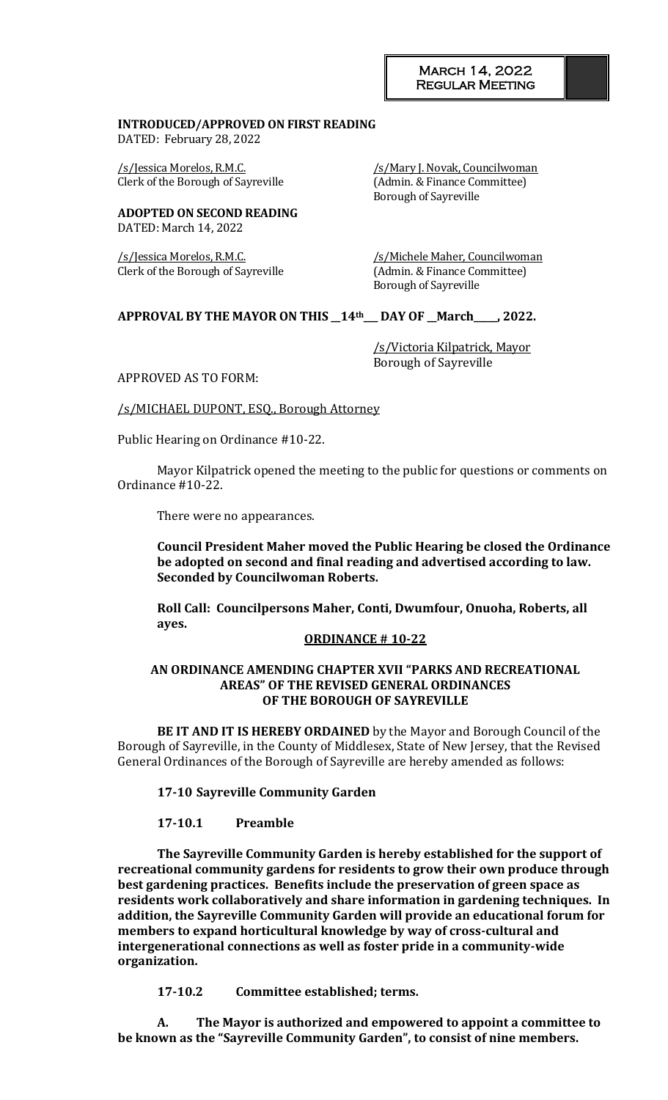## **INTRODUCED/APPROVED ON FIRST READING**

DATED: February 28, 2022

/s/Jessica Morelos, R.M.C. /s/Mary J. Novak, Councilwoman Clerk of the Borough of Sayreville (Admin. & Finance Committee)

Borough of Sayreville

**ADOPTED ON SECOND READING** DATED: March 14, 2022

Clerk of the Borough of Sayreville (Admin. & Finance Committee)

/s/Jessica Morelos, R.M.C. /s/Michele Maher, Councilwoman Borough of Sayreville

## **APPROVAL BY THE MAYOR ON THIS \_\_14th\_\_\_ DAY OF \_\_March\_\_\_\_\_, 2022.**

/s/Victoria Kilpatrick, Mayor Borough of Sayreville

APPROVED AS TO FORM:

/s/MICHAEL DUPONT, ESQ., Borough Attorney

Public Hearing on Ordinance #10-22.

Mayor Kilpatrick opened the meeting to the public for questions or comments on Ordinance #10-22.

There were no appearances.

**Council President Maher moved the Public Hearing be closed the Ordinance be adopted on second and final reading and advertised according to law. Seconded by Councilwoman Roberts.** 

**Roll Call: Councilpersons Maher, Conti, Dwumfour, Onuoha, Roberts, all ayes.**

## **ORDINANCE # 10-22**

#### **AN ORDINANCE AMENDING CHAPTER XVII "PARKS AND RECREATIONAL AREAS" OF THE REVISED GENERAL ORDINANCES OF THE BOROUGH OF SAYREVILLE**

**BE IT AND IT IS HEREBY ORDAINED** by the Mayor and Borough Council of the Borough of Sayreville, in the County of Middlesex, State of New Jersey, that the Revised General Ordinances of the Borough of Sayreville are hereby amended as follows:

**17-10 Sayreville Community Garden**

## **17-10.1 Preamble**

**The Sayreville Community Garden is hereby established for the support of recreational community gardens for residents to grow their own produce through best gardening practices. Benefits include the preservation of green space as residents work collaboratively and share information in gardening techniques. In addition, the Sayreville Community Garden will provide an educational forum for members to expand horticultural knowledge by way of cross-cultural and intergenerational connections as well as foster pride in a community-wide organization.**

**17-10.2 Committee established; terms.**

**A. The Mayor is authorized and empowered to appoint a committee to be known as the "Sayreville Community Garden", to consist of nine members.**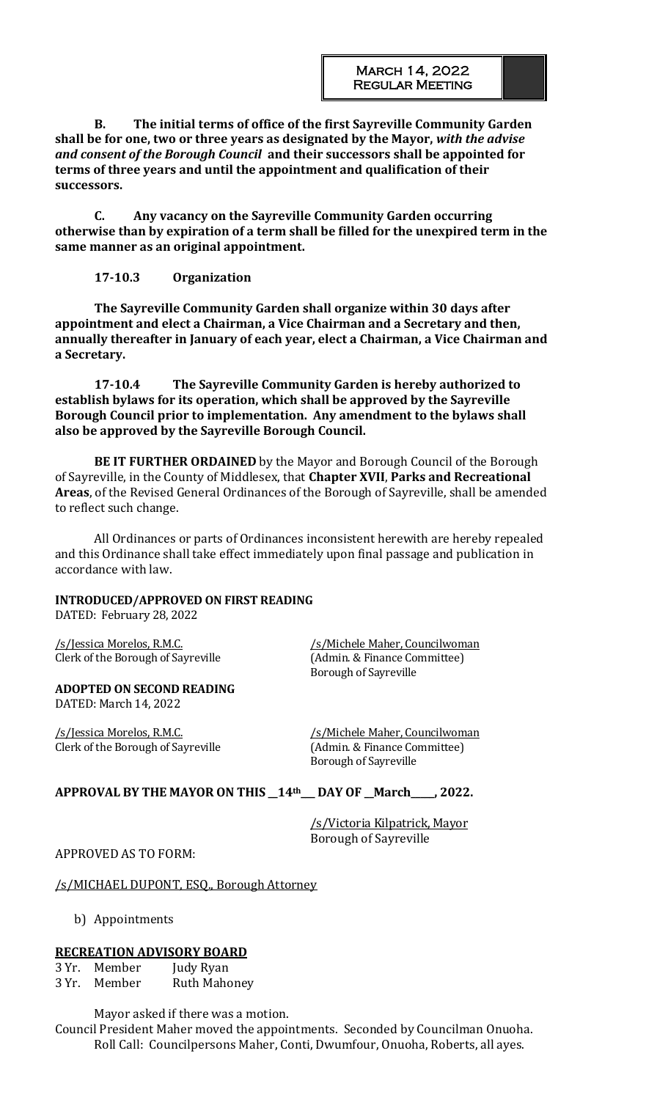**B. The initial terms of office of the first Sayreville Community Garden shall be for one, two or three years as designated by the Mayor,** *with the advise and consent of the Borough Council* **and their successors shall be appointed for terms of three years and until the appointment and qualification of their successors.**

**C. Any vacancy on the Sayreville Community Garden occurring otherwise than by expiration of a term shall be filled for the unexpired term in the same manner as an original appointment.**

## **17-10.3 Organization**

**The Sayreville Community Garden shall organize within 30 days after appointment and elect a Chairman, a Vice Chairman and a Secretary and then, annually thereafter in January of each year, elect a Chairman, a Vice Chairman and a Secretary.**

**17-10.4 The Sayreville Community Garden is hereby authorized to establish bylaws for its operation, which shall be approved by the Sayreville Borough Council prior to implementation. Any amendment to the bylaws shall also be approved by the Sayreville Borough Council.**

**BE IT FURTHER ORDAINED** by the Mayor and Borough Council of the Borough of Sayreville, in the County of Middlesex, that **Chapter XVII**, **Parks and Recreational Areas**, of the Revised General Ordinances of the Borough of Sayreville, shall be amended to reflect such change.

All Ordinances or parts of Ordinances inconsistent herewith are hereby repealed and this Ordinance shall take effect immediately upon final passage and publication in accordance with law.

## **INTRODUCED/APPROVED ON FIRST READING**

DATED: February 28, 2022

Clerk of the Borough of Sayreville

/s/Jessica Morelos, R.M.C.<br>Clerk of the Borough of Sayreville (Admin. & Finance Committee) Borough of Sayreville

## **ADOPTED ON SECOND READING**

DATED: March 14, 2022

/s/Jessica Morelos, R.M.C. /s/Michele Maher, Councilwoman Clerk of the Borough of Sayreville (Admin. & Finance Committee)

Borough of Sayreville

## **APPROVAL BY THE MAYOR ON THIS \_\_14th\_\_\_ DAY OF \_\_March\_\_\_\_\_, 2022.**

/s/Victoria Kilpatrick, Mayor Borough of Sayreville

## APPROVED AS TO FORM:

## /s/MICHAEL DUPONT, ESQ., Borough Attorney

b) Appointments

## **RECREATION ADVISORY BOARD**

3 Yr. Member Judy Ryan 3 Yr. Member Ruth Mahoney

Mayor asked if there was a motion.

Council President Maher moved the appointments. Seconded by Councilman Onuoha. Roll Call: Councilpersons Maher, Conti, Dwumfour, Onuoha, Roberts, all ayes.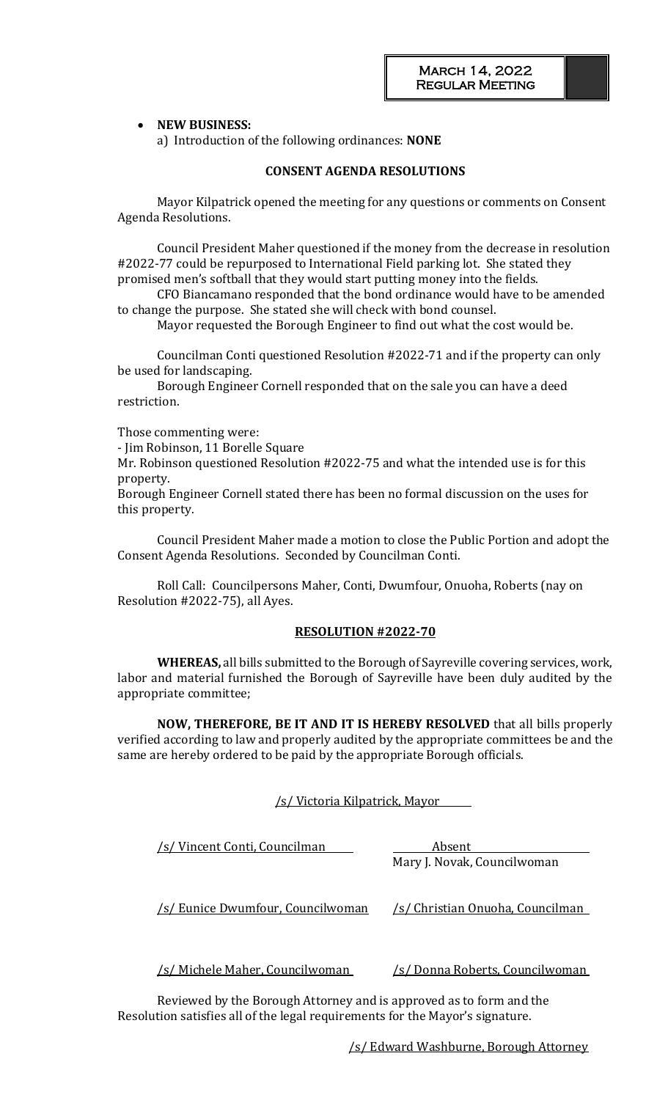## • **NEW BUSINESS:**

a) Introduction of the following ordinances: **NONE**

## **CONSENT AGENDA RESOLUTIONS**

Mayor Kilpatrick opened the meeting for any questions or comments on Consent Agenda Resolutions.

Council President Maher questioned if the money from the decrease in resolution #2022-77 could be repurposed to International Field parking lot. She stated they promised men's softball that they would start putting money into the fields.

CFO Biancamano responded that the bond ordinance would have to be amended to change the purpose. She stated she will check with bond counsel.

Mayor requested the Borough Engineer to find out what the cost would be.

Councilman Conti questioned Resolution #2022-71 and if the property can only be used for landscaping.

Borough Engineer Cornell responded that on the sale you can have a deed restriction.

Those commenting were:

- Jim Robinson, 11 Borelle Square

Mr. Robinson questioned Resolution #2022-75 and what the intended use is for this property.

Borough Engineer Cornell stated there has been no formal discussion on the uses for this property.

Council President Maher made a motion to close the Public Portion and adopt the Consent Agenda Resolutions. Seconded by Councilman Conti.

Roll Call: Councilpersons Maher, Conti, Dwumfour, Onuoha, Roberts (nay on Resolution #2022-75), all Ayes.

## **RESOLUTION #2022-70**

**WHEREAS,** all bills submitted to the Borough of Sayreville covering services, work, labor and material furnished the Borough of Sayreville have been duly audited by the appropriate committee;

**NOW, THEREFORE, BE IT AND IT IS HEREBY RESOLVED** that all bills properly verified according to law and properly audited by the appropriate committees be and the same are hereby ordered to be paid by the appropriate Borough officials.

/s/ Victoria Kilpatrick, Mayor

| /s/ Vincent Conti, Councilman     | Absent                           |  |  |
|-----------------------------------|----------------------------------|--|--|
|                                   | Mary J. Novak, Councilwoman      |  |  |
|                                   |                                  |  |  |
| /s/ Eunice Dwumfour, Councilwoman | /s/ Christian Onuoha, Councilman |  |  |

/s/ Michele Maher, Councilwoman /s/ Donna Roberts, Councilwoman

Reviewed by the Borough Attorney and is approved as to form and the Resolution satisfies all of the legal requirements for the Mayor's signature.

/s/ Edward Washburne, Borough Attorney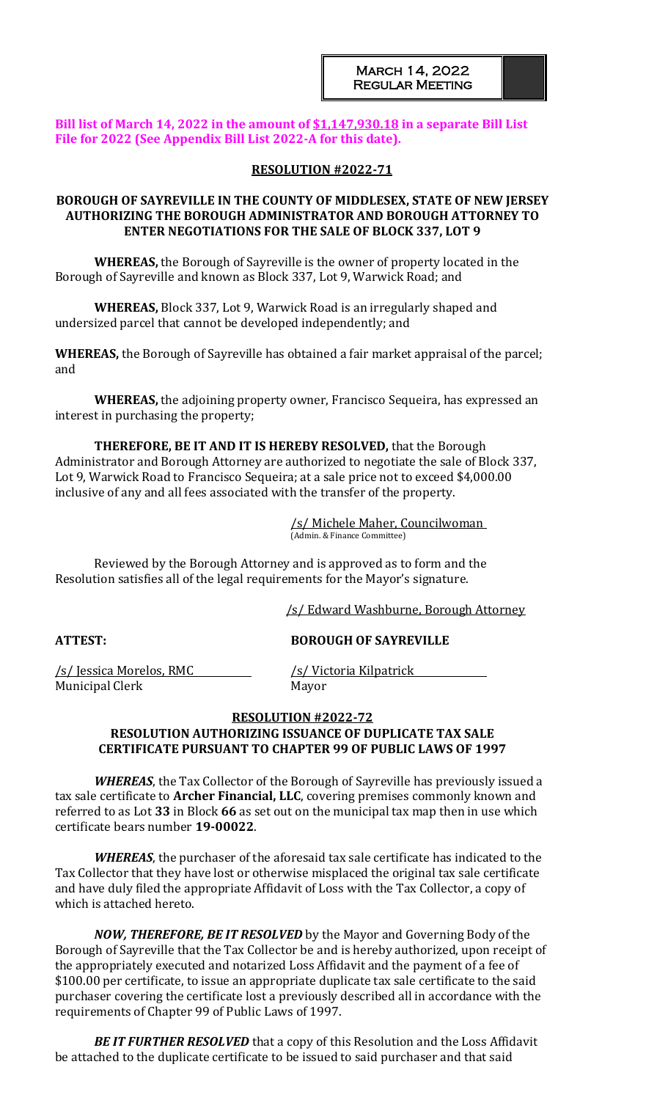## **Bill list of March 14, 2022 in the amount of \$1,147,930.18 in a separate Bill List File for 2022 (See Appendix Bill List 2022-A for this date).**

## **RESOLUTION #2022-71**

## **BOROUGH OF SAYREVILLE IN THE COUNTY OF MIDDLESEX, STATE OF NEW JERSEY AUTHORIZING THE BOROUGH ADMINISTRATOR AND BOROUGH ATTORNEY TO ENTER NEGOTIATIONS FOR THE SALE OF BLOCK 337, LOT 9**

**WHEREAS,** the Borough of Sayreville is the owner of property located in the Borough of Sayreville and known as Block 337, Lot 9, Warwick Road; and

**WHEREAS,** Block 337, Lot 9, Warwick Road is an irregularly shaped and undersized parcel that cannot be developed independently; and

**WHEREAS,** the Borough of Sayreville has obtained a fair market appraisal of the parcel; and

**WHEREAS,** the adjoining property owner, Francisco Sequeira, has expressed an interest in purchasing the property;

**THEREFORE, BE IT AND IT IS HEREBY RESOLVED,** that the Borough Administrator and Borough Attorney are authorized to negotiate the sale of Block 337, Lot 9, Warwick Road to Francisco Sequeira; at a sale price not to exceed \$4,000.00 inclusive of any and all fees associated with the transfer of the property.

> /s/ Michele Maher, Councilwoman (Admin. & Finance Committee)

Reviewed by the Borough Attorney and is approved as to form and the Resolution satisfies all of the legal requirements for the Mayor's signature.

/s/ Edward Washburne, Borough Attorney

**ATTEST: BOROUGH OF SAYREVILLE**

/s/ Jessica Morelos, RMC /s/ Victoria Kilpatrick Municipal Clerk Mayor

## **RESOLUTION #2022-72**

## **RESOLUTION AUTHORIZING ISSUANCE OF DUPLICATE TAX SALE CERTIFICATE PURSUANT TO CHAPTER 99 OF PUBLIC LAWS OF 1997**

*WHEREAS*, the Tax Collector of the Borough of Sayreville has previously issued a tax sale certificate to **Archer Financial, LLC**, covering premises commonly known and referred to as Lot **33** in Block **66** as set out on the municipal tax map then in use which certificate bears number **19-00022**.

*WHEREAS*, the purchaser of the aforesaid tax sale certificate has indicated to the Tax Collector that they have lost or otherwise misplaced the original tax sale certificate and have duly filed the appropriate Affidavit of Loss with the Tax Collector, a copy of which is attached hereto.

*NOW, THEREFORE, BE IT RESOLVED* by the Mayor and Governing Body of the Borough of Sayreville that the Tax Collector be and is hereby authorized, upon receipt of the appropriately executed and notarized Loss Affidavit and the payment of a fee of \$100.00 per certificate, to issue an appropriate duplicate tax sale certificate to the said purchaser covering the certificate lost a previously described all in accordance with the requirements of Chapter 99 of Public Laws of 1997.

*BE IT FURTHER RESOLVED* that a copy of this Resolution and the Loss Affidavit be attached to the duplicate certificate to be issued to said purchaser and that said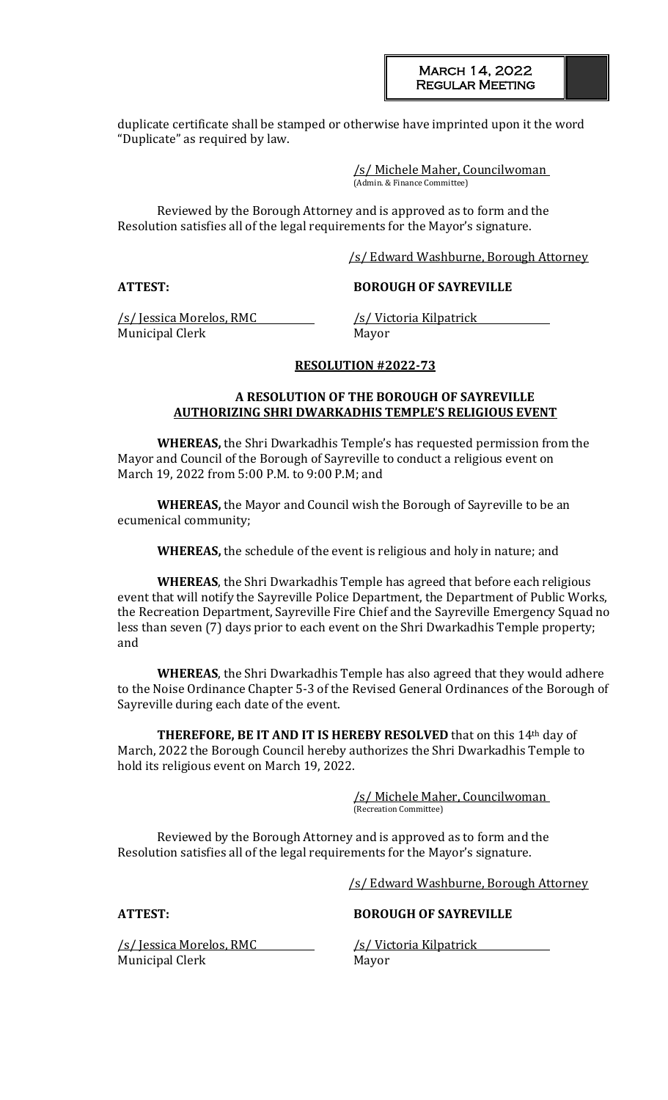duplicate certificate shall be stamped or otherwise have imprinted upon it the word "Duplicate" as required by law.

> /s/ Michele Maher, Councilwoman (Admin. & Finance Committee)

Reviewed by the Borough Attorney and is approved as to form and the Resolution satisfies all of the legal requirements for the Mayor's signature.

/s/ Edward Washburne, Borough Attorney

## **ATTEST: BOROUGH OF SAYREVILLE**

/s/ Jessica Morelos, RMC /s/ Victoria Kilpatrick Municipal Clerk Mayor

#### **RESOLUTION #2022-73**

## **A RESOLUTION OF THE BOROUGH OF SAYREVILLE AUTHORIZING SHRI DWARKADHIS TEMPLE'S RELIGIOUS EVENT**

**WHEREAS,** the Shri Dwarkadhis Temple's has requested permission from the Mayor and Council of the Borough of Sayreville to conduct a religious event on March 19, 2022 from 5:00 P.M. to 9:00 P.M; and

**WHEREAS,** the Mayor and Council wish the Borough of Sayreville to be an ecumenical community;

**WHEREAS,** the schedule of the event is religious and holy in nature; and

**WHEREAS**, the Shri Dwarkadhis Temple has agreed that before each religious event that will notify the Sayreville Police Department, the Department of Public Works, the Recreation Department, Sayreville Fire Chief and the Sayreville Emergency Squad no less than seven (7) days prior to each event on the Shri Dwarkadhis Temple property; and

**WHEREAS**, the Shri Dwarkadhis Temple has also agreed that they would adhere to the Noise Ordinance Chapter 5-3 of the Revised General Ordinances of the Borough of Sayreville during each date of the event.

**THEREFORE, BE IT AND IT IS HEREBY RESOLVED** that on this 14th day of March, 2022 the Borough Council hereby authorizes the Shri Dwarkadhis Temple to hold its religious event on March 19, 2022.

> /s/ Michele Maher, Councilwoman (Recreation Committee)

Reviewed by the Borough Attorney and is approved as to form and the Resolution satisfies all of the legal requirements for the Mayor's signature.

/s/ Edward Washburne, Borough Attorney

**ATTEST: BOROUGH OF SAYREVILLE**

/s/ Jessica Morelos, RMC /s/ Victoria Kilpatrick Municipal Clerk Mayor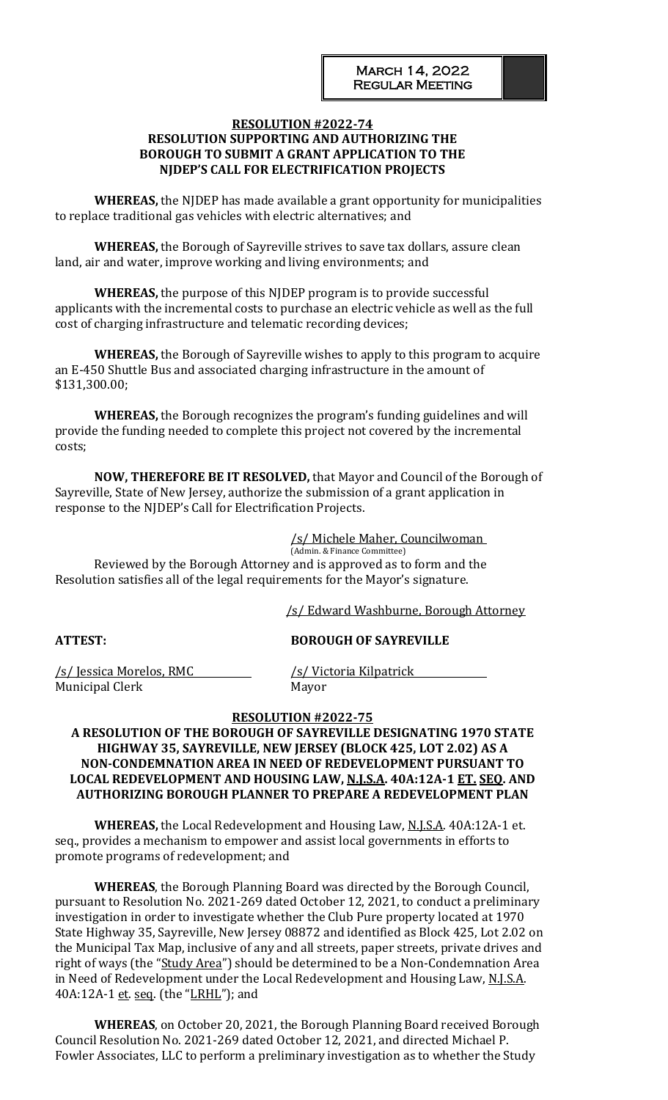## **RESOLUTION #2022-74 RESOLUTION SUPPORTING AND AUTHORIZING THE BOROUGH TO SUBMIT A GRANT APPLICATION TO THE NJDEP'S CALL FOR ELECTRIFICATION PROJECTS**

**WHEREAS,** the NJDEP has made available a grant opportunity for municipalities to replace traditional gas vehicles with electric alternatives; and

**WHEREAS,** the Borough of Sayreville strives to save tax dollars, assure clean land, air and water, improve working and living environments; and

**WHEREAS,** the purpose of this NJDEP program is to provide successful applicants with the incremental costs to purchase an electric vehicle as well as the full cost of charging infrastructure and telematic recording devices;

**WHEREAS,** the Borough of Sayreville wishes to apply to this program to acquire an E-450 Shuttle Bus and associated charging infrastructure in the amount of \$131,300.00;

**WHEREAS,** the Borough recognizes the program's funding guidelines and will provide the funding needed to complete this project not covered by the incremental costs;

**NOW, THEREFORE BE IT RESOLVED,** that Mayor and Council of the Borough of Sayreville, State of New Jersey, authorize the submission of a grant application in response to the NJDEP's Call for Electrification Projects.

/s/ Michele Maher, Councilwoman

(Admin. & Finance Committee) Reviewed by the Borough Attorney and is approved as to form and the Resolution satisfies all of the legal requirements for the Mayor's signature.

/s/ Edward Washburne, Borough Attorney

## **ATTEST: BOROUGH OF SAYREVILLE**

/s/ Jessica Morelos, RMC /s/ Victoria Kilpatrick Municipal Clerk Mayor

## **RESOLUTION #2022-75**

## **A RESOLUTION OF THE BOROUGH OF SAYREVILLE DESIGNATING 1970 STATE HIGHWAY 35, SAYREVILLE, NEW JERSEY (BLOCK 425, LOT 2.02) AS A NON-CONDEMNATION AREA IN NEED OF REDEVELOPMENT PURSUANT TO LOCAL REDEVELOPMENT AND HOUSING LAW, N.J.S.A. 40A:12A-1 ET. SEQ. AND AUTHORIZING BOROUGH PLANNER TO PREPARE A REDEVELOPMENT PLAN**

**WHEREAS,** the Local Redevelopment and Housing Law, N.J.S.A. 40A:12A-1 et. seq., provides a mechanism to empower and assist local governments in efforts to promote programs of redevelopment; and

**WHEREAS**, the Borough Planning Board was directed by the Borough Council, pursuant to Resolution No. 2021-269 dated October 12, 2021, to conduct a preliminary investigation in order to investigate whether the Club Pure property located at 1970 State Highway 35, Sayreville, New Jersey 08872 and identified as Block 425, Lot 2.02 on the Municipal Tax Map, inclusive of any and all streets, paper streets, private drives and right of ways (the "Study Area") should be determined to be a Non-Condemnation Area in Need of Redevelopment under the Local Redevelopment and Housing Law, N.J.S.A. 40A:12A-1 et. seq. (the "LRHL"); and

**WHEREAS**, on October 20, 2021, the Borough Planning Board received Borough Council Resolution No. 2021-269 dated October 12, 2021, and directed Michael P. Fowler Associates, LLC to perform a preliminary investigation as to whether the Study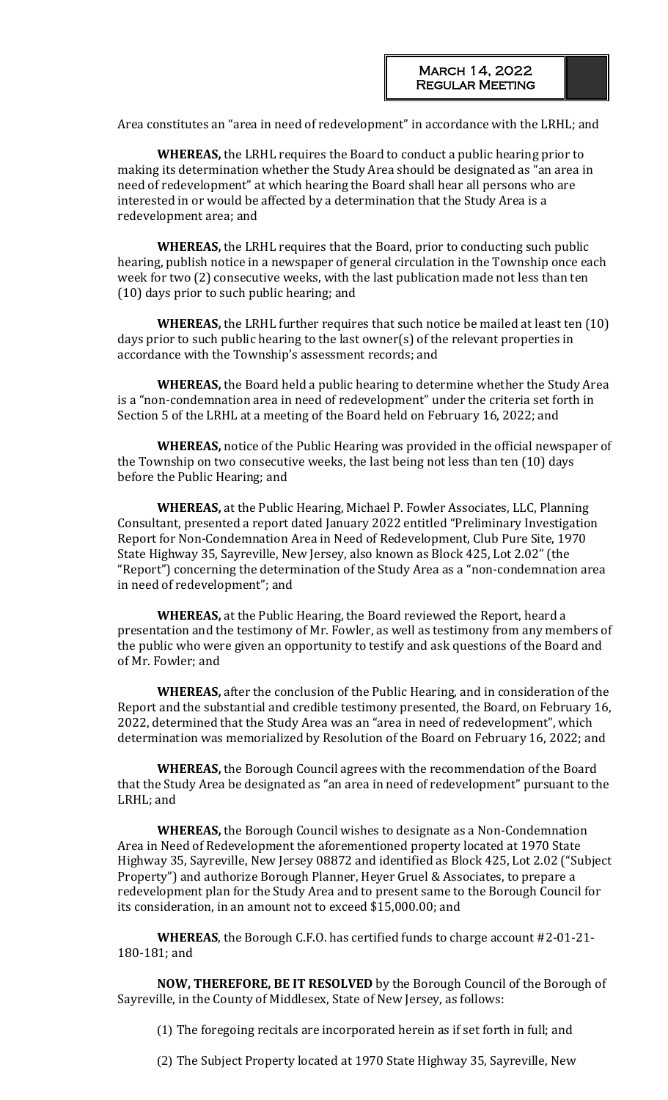Area constitutes an "area in need of redevelopment" in accordance with the LRHL; and

**WHEREAS,** the LRHL requires the Board to conduct a public hearing prior to making its determination whether the Study Area should be designated as "an area in need of redevelopment" at which hearing the Board shall hear all persons who are interested in or would be affected by a determination that the Study Area is a redevelopment area; and

**WHEREAS,** the LRHL requires that the Board, prior to conducting such public hearing, publish notice in a newspaper of general circulation in the Township once each week for two (2) consecutive weeks, with the last publication made not less than ten (10) days prior to such public hearing; and

**WHEREAS,** the LRHL further requires that such notice be mailed at least ten (10) days prior to such public hearing to the last owner(s) of the relevant properties in accordance with the Township's assessment records; and

**WHEREAS,** the Board held a public hearing to determine whether the Study Area is a "non-condemnation area in need of redevelopment" under the criteria set forth in Section 5 of the LRHL at a meeting of the Board held on February 16, 2022; and

**WHEREAS,** notice of the Public Hearing was provided in the official newspaper of the Township on two consecutive weeks, the last being not less than ten (10) days before the Public Hearing; and

**WHEREAS,** at the Public Hearing, Michael P. Fowler Associates, LLC, Planning Consultant, presented a report dated January 2022 entitled "Preliminary Investigation Report for Non-Condemnation Area in Need of Redevelopment, Club Pure Site, 1970 State Highway 35, Sayreville, New Jersey, also known as Block 425, Lot 2.02" (the "Report") concerning the determination of the Study Area as a "non-condemnation area in need of redevelopment"; and

**WHEREAS,** at the Public Hearing, the Board reviewed the Report, heard a presentation and the testimony of Mr. Fowler, as well as testimony from any members of the public who were given an opportunity to testify and ask questions of the Board and of Mr. Fowler; and

**WHEREAS,** after the conclusion of the Public Hearing, and in consideration of the Report and the substantial and credible testimony presented, the Board, on February 16, 2022, determined that the Study Area was an "area in need of redevelopment", which determination was memorialized by Resolution of the Board on February 16, 2022; and

**WHEREAS,** the Borough Council agrees with the recommendation of the Board that the Study Area be designated as "an area in need of redevelopment" pursuant to the LRHL; and

**WHEREAS,** the Borough Council wishes to designate as a Non-Condemnation Area in Need of Redevelopment the aforementioned property located at 1970 State Highway 35, Sayreville, New Jersey 08872 and identified as Block 425, Lot 2.02 ("Subject Property") and authorize Borough Planner, Heyer Gruel & Associates, to prepare a redevelopment plan for the Study Area and to present same to the Borough Council for its consideration, in an amount not to exceed \$15,000.00; and

**WHEREAS**, the Borough C.F.O. has certified funds to charge account #2-01-21- 180-181; and

**NOW, THEREFORE, BE IT RESOLVED** by the Borough Council of the Borough of Sayreville, in the County of Middlesex, State of New Jersey, as follows:

(1) The foregoing recitals are incorporated herein as if set forth in full; and

(2) The Subject Property located at 1970 State Highway 35, Sayreville, New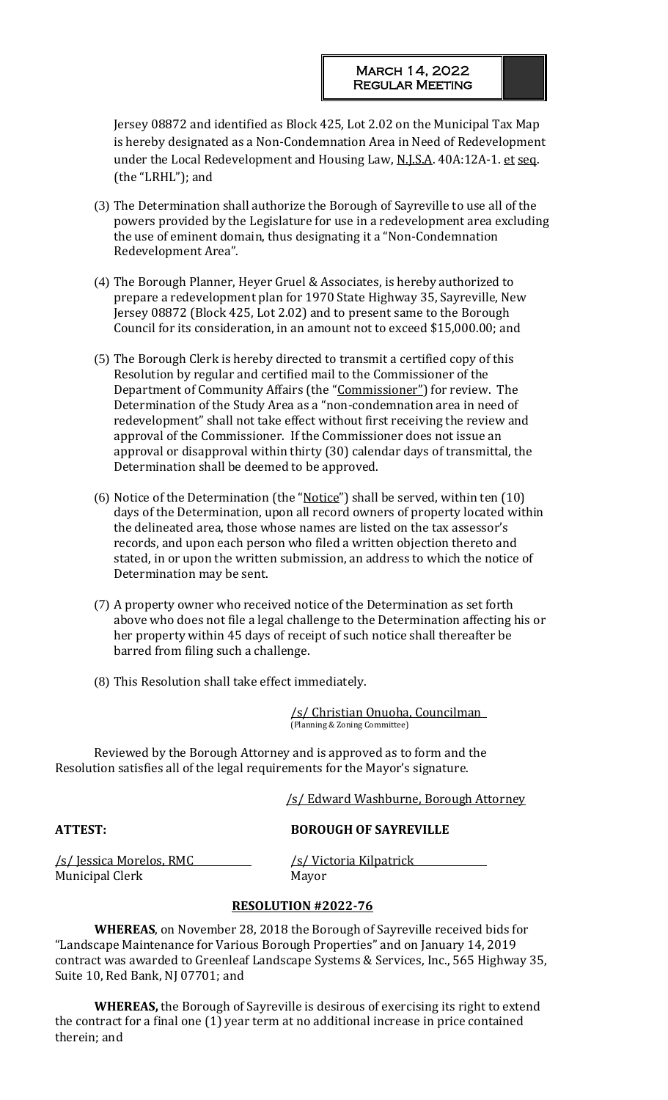Jersey 08872 and identified as Block 425, Lot 2.02 on the Municipal Tax Map is hereby designated as a Non-Condemnation Area in Need of Redevelopment under the Local Redevelopment and Housing Law, N.J.S.A. 40A:12A-1. et seq. (the "LRHL"); and

- (3) The Determination shall authorize the Borough of Sayreville to use all of the powers provided by the Legislature for use in a redevelopment area excluding the use of eminent domain, thus designating it a "Non-Condemnation Redevelopment Area".
- (4) The Borough Planner, Heyer Gruel & Associates, is hereby authorized to prepare a redevelopment plan for 1970 State Highway 35, Sayreville, New Jersey 08872 (Block 425, Lot 2.02) and to present same to the Borough Council for its consideration, in an amount not to exceed \$15,000.00; and
- (5) The Borough Clerk is hereby directed to transmit a certified copy of this Resolution by regular and certified mail to the Commissioner of the Department of Community Affairs (the "Commissioner") for review. The Determination of the Study Area as a "non-condemnation area in need of redevelopment" shall not take effect without first receiving the review and approval of the Commissioner. If the Commissioner does not issue an approval or disapproval within thirty (30) calendar days of transmittal, the Determination shall be deemed to be approved.
- (6) Notice of the Determination (the "Notice") shall be served, within ten (10) days of the Determination, upon all record owners of property located within the delineated area, those whose names are listed on the tax assessor's records, and upon each person who filed a written objection thereto and stated, in or upon the written submission, an address to which the notice of Determination may be sent.
- (7) A property owner who received notice of the Determination as set forth above who does not file a legal challenge to the Determination affecting his or her property within 45 days of receipt of such notice shall thereafter be barred from filing such a challenge.
- (8) This Resolution shall take effect immediately.

/s/ Christian Onuoha, Councilman (Planning & Zoning Committee)

Reviewed by the Borough Attorney and is approved as to form and the Resolution satisfies all of the legal requirements for the Mayor's signature.

/s/ Edward Washburne, Borough Attorney

## **ATTEST: BOROUGH OF SAYREVILLE**

<u>/s/ Jessica Morelos, RMC /s/ Victoria Kilpatrick</u> Municipal Clerk Mayor

## **RESOLUTION #2022-76**

**WHEREAS**, on November 28, 2018 the Borough of Sayreville received bids for "Landscape Maintenance for Various Borough Properties" and on January 14, 2019 contract was awarded to Greenleaf Landscape Systems & Services, Inc., 565 Highway 35, Suite 10, Red Bank, NJ 07701; and

**WHEREAS,** the Borough of Sayreville is desirous of exercising its right to extend the contract for a final one (1) year term at no additional increase in price contained therein; and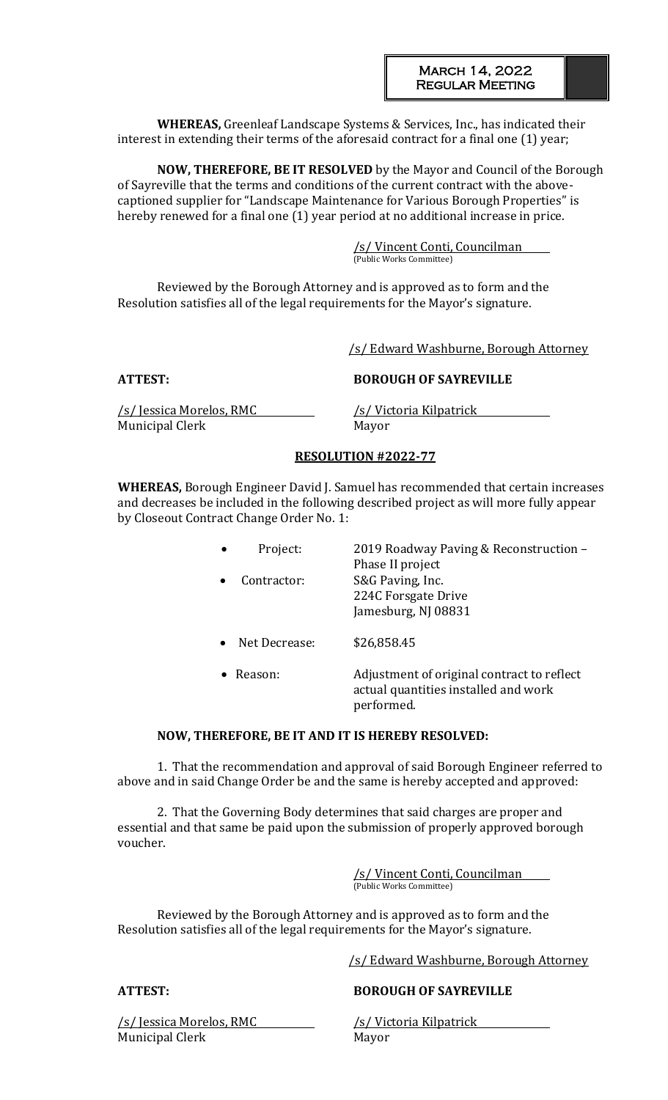**WHEREAS,** Greenleaf Landscape Systems & Services, Inc., has indicated their interest in extending their terms of the aforesaid contract for a final one (1) year;

**NOW, THEREFORE, BE IT RESOLVED** by the Mayor and Council of the Borough of Sayreville that the terms and conditions of the current contract with the abovecaptioned supplier for "Landscape Maintenance for Various Borough Properties" is hereby renewed for a final one (1) year period at no additional increase in price.

> /s/ Vincent Conti, Councilman (Public Works Committee)

Reviewed by the Borough Attorney and is approved as to form and the Resolution satisfies all of the legal requirements for the Mayor's signature.

/s/ Edward Washburne, Borough Attorney

## **ATTEST: BOROUGH OF SAYREVILLE**

/s/ Jessica Morelos, RMC /s/ Victoria Kilpatrick Municipal Clerk Mayor

## **RESOLUTION #2022-77**

**WHEREAS,** Borough Engineer David J. Samuel has recommended that certain increases and decreases be included in the following described project as will more fully appear by Closeout Contract Change Order No. 1:

| Project:      | 2019 Roadway Paving & Reconstruction -<br>Phase II project     |
|---------------|----------------------------------------------------------------|
| Contractor:   | S&G Paving, Inc.<br>224C Forsgate Drive<br>Jamesburg, NJ 08831 |
| Net Decrease: | \$26,858.45                                                    |

• Reason: Adjustment of original contract to reflect actual quantities installed and work performed.

## **NOW, THEREFORE, BE IT AND IT IS HEREBY RESOLVED:**

1. That the recommendation and approval of said Borough Engineer referred to above and in said Change Order be and the same is hereby accepted and approved:

2. That the Governing Body determines that said charges are proper and essential and that same be paid upon the submission of properly approved borough voucher.

> /s/ Vincent Conti, Councilman (Public Works Committee)

Reviewed by the Borough Attorney and is approved as to form and the Resolution satisfies all of the legal requirements for the Mayor's signature.

/s/ Edward Washburne, Borough Attorney

# **ATTEST: BOROUGH OF SAYREVILLE**

/s/ Jessica Morelos, RMC /s/ Victoria Kilpatrick Municipal Clerk Mayor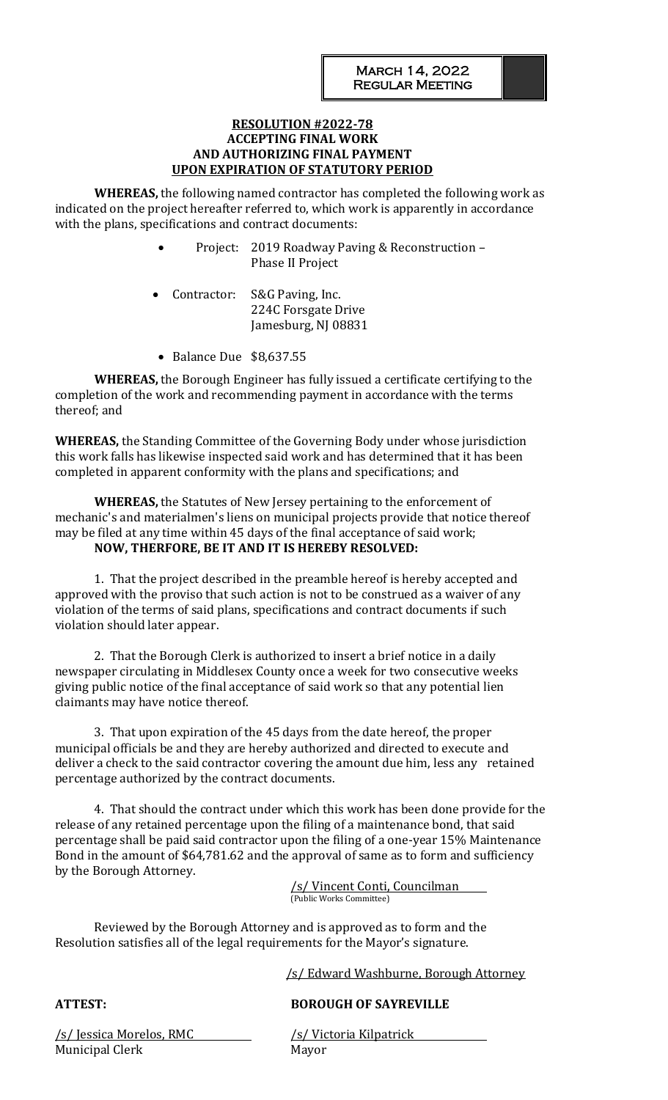## **RESOLUTION #2022-78 ACCEPTING FINAL WORK AND AUTHORIZING FINAL PAYMENT UPON EXPIRATION OF STATUTORY PERIOD**

**WHEREAS,** the following named contractor has completed the following work as indicated on the project hereafter referred to, which work is apparently in accordance with the plans, specifications and contract documents:

- Project: 2019 Roadway Paving & Reconstruction Phase II Project
- Contractor: S&G Paving, Inc. 224C Forsgate Drive Jamesburg, NJ 08831
- Balance Due \$8,637.55

**WHEREAS,** the Borough Engineer has fully issued a certificate certifying to the completion of the work and recommending payment in accordance with the terms thereof; and

**WHEREAS,** the Standing Committee of the Governing Body under whose jurisdiction this work falls has likewise inspected said work and has determined that it has been completed in apparent conformity with the plans and specifications; and

**WHEREAS,** the Statutes of New Jersey pertaining to the enforcement of mechanic's and materialmen's liens on municipal projects provide that notice thereof may be filed at any time within 45 days of the final acceptance of said work; **NOW, THERFORE, BE IT AND IT IS HEREBY RESOLVED:**

1. That the project described in the preamble hereof is hereby accepted and approved with the proviso that such action is not to be construed as a waiver of any violation of the terms of said plans, specifications and contract documents if such violation should later appear.

2. That the Borough Clerk is authorized to insert a brief notice in a daily newspaper circulating in Middlesex County once a week for two consecutive weeks giving public notice of the final acceptance of said work so that any potential lien claimants may have notice thereof.

3. That upon expiration of the 45 days from the date hereof, the proper municipal officials be and they are hereby authorized and directed to execute and deliver a check to the said contractor covering the amount due him, less any retained percentage authorized by the contract documents.

4. That should the contract under which this work has been done provide for the release of any retained percentage upon the filing of a maintenance bond, that said percentage shall be paid said contractor upon the filing of a one-year 15% Maintenance Bond in the amount of \$64,781.62 and the approval of same as to form and sufficiency by the Borough Attorney.

> /s/ Vincent Conti, Councilman (Public Works Committee)

Reviewed by the Borough Attorney and is approved as to form and the Resolution satisfies all of the legal requirements for the Mayor's signature.

/s/ Edward Washburne, Borough Attorney

## **ATTEST: BOROUGH OF SAYREVILLE**

/s/ Jessica Morelos, RMC /s/ Victoria Kilpatrick Municipal Clerk Mayor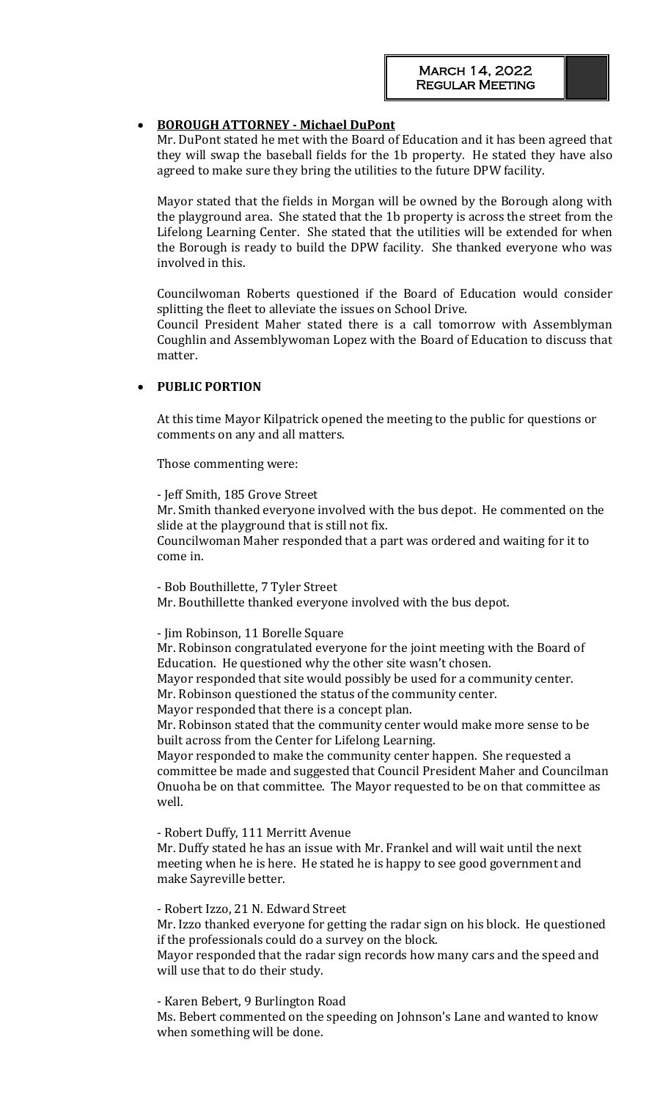## • **BOROUGH ATTORNEY - Michael DuPont**

Mr. DuPont stated he met with the Board of Education and it has been agreed that they will swap the baseball fields for the 1b property. He stated they have also agreed to make sure they bring the utilities to the future DPW facility.

Mayor stated that the fields in Morgan will be owned by the Borough along with the playground area. She stated that the 1b property is across the street from the Lifelong Learning Center. She stated that the utilities will be extended for when the Borough is ready to build the DPW facility. She thanked everyone who was involved in this.

Councilwoman Roberts questioned if the Board of Education would consider splitting the fleet to alleviate the issues on School Drive.

Council President Maher stated there is a call tomorrow with Assemblyman Coughlin and Assemblywoman Lopez with the Board of Education to discuss that matter.

## • **PUBLIC PORTION**

At this time Mayor Kilpatrick opened the meeting to the public for questions or comments on any and all matters.

Those commenting were:

- Jeff Smith, 185 Grove Street Mr. Smith thanked everyone involved with the bus depot. He commented on the slide at the playground that is still not fix.

Councilwoman Maher responded that a part was ordered and waiting for it to come in.

- Bob Bouthillette, 7 Tyler Street

Mr. Bouthillette thanked everyone involved with the bus depot.

- Jim Robinson, 11 Borelle Square

Mr. Robinson congratulated everyone for the joint meeting with the Board of Education. He questioned why the other site wasn't chosen.

Mayor responded that site would possibly be used for a community center. Mr. Robinson questioned the status of the community center.

Mayor responded that there is a concept plan.

Mr. Robinson stated that the community center would make more sense to be built across from the Center for Lifelong Learning.

Mayor responded to make the community center happen. She requested a committee be made and suggested that Council President Maher and Councilman Onuoha be on that committee. The Mayor requested to be on that committee as well.

- Robert Duffy, 111 Merritt Avenue

Mr. Duffy stated he has an issue with Mr. Frankel and will wait until the next meeting when he is here. He stated he is happy to see good government and make Sayreville better.

- Robert Izzo, 21 N. Edward Street

Mr. Izzo thanked everyone for getting the radar sign on his block. He questioned if the professionals could do a survey on the block.

Mayor responded that the radar sign records how many cars and the speed and will use that to do their study.

- Karen Bebert, 9 Burlington Road

Ms. Bebert commented on the speeding on Johnson's Lane and wanted to know when something will be done.